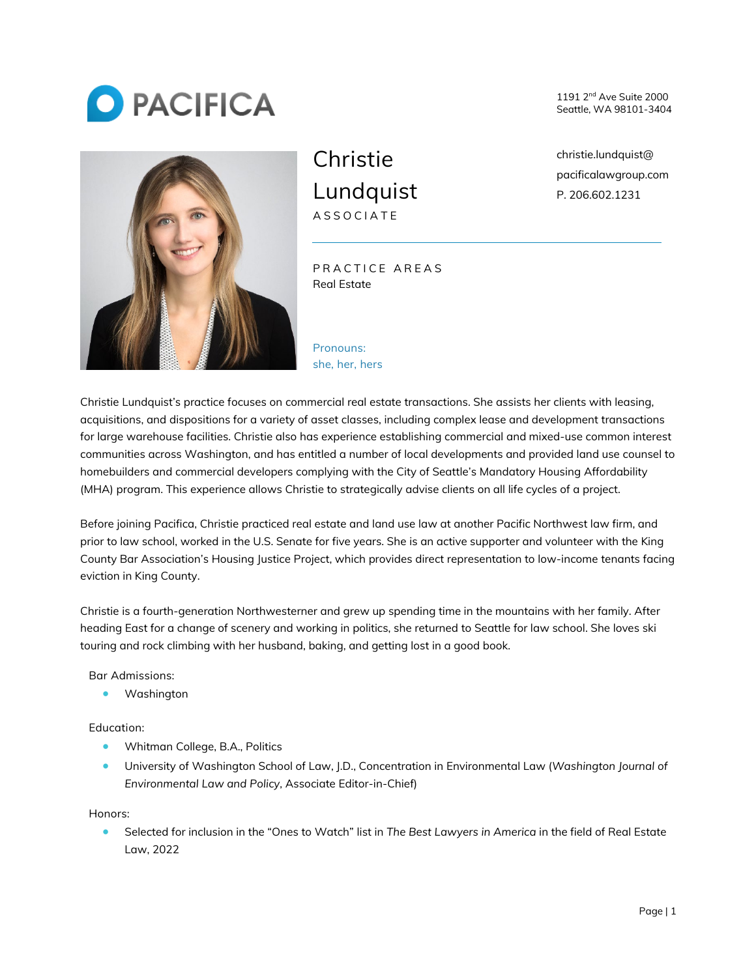



**Christie Lundquist ASSOCIATE**

**PRACTICE AREAS** Real Estate

**Pronouns: she, her, hers** 1191 2nd Ave Suite 2000 Seattle, WA 98101-3404

christie.lundquist@ pacificalawgroup.com P. 206.602.1231

Christie Lundquist's practice focuses on commercial real estate transactions. She assists her clients with leasing, acquisitions, and dispositions for a variety of asset classes, including complex lease and development transactions for large warehouse facilities. Christie also has experience establishing commercial and mixed-use common interest communities across Washington, and has entitled a number of local developments and provided land use counsel to homebuilders and commercial developers complying with the City of Seattle's Mandatory Housing Affordability (MHA) program. This experience allows Christie to strategically advise clients on all life cycles of a project.

Before joining Pacifica, Christie practiced real estate and land use law at another Pacific Northwest law firm, and prior to law school, worked in the U.S. Senate for five years. She is an active supporter and volunteer with the King County Bar Association's Housing Justice Project, which provides direct representation to low-income tenants facing eviction in King County.

Christie is a fourth-generation Northwesterner and grew up spending time in the mountains with her family. After heading East for a change of scenery and working in politics, she returned to Seattle for law school. She loves ski touring and rock climbing with her husband, baking, and getting lost in a good book.

**Bar Admissions:**

• Washington

**Education:**

- Whitman College, B.A., Politics
- University of Washington School of Law, J.D., Concentration in Environmental Law (*Washington Journal of Environmental Law and Policy,* Associate Editor-in-Chief)

**Honors:**

• Selected for inclusion in the "Ones to Watch" list in *The Best Lawyers in America* in the field of Real Estate Law, 2022